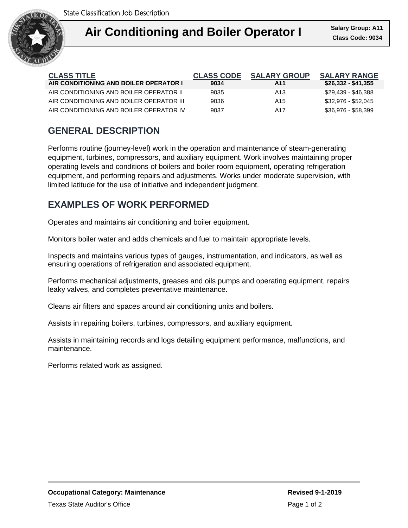

| <b>CLASS TITLE</b><br>AIR CONDITIONING AND BOILER OPERATOR I | <b>CLASS CODE</b><br>9034 | <b>SALARY GROUP</b><br>A11 | <b>SALARY RANGE</b><br>\$26,332 - \$41,355 |
|--------------------------------------------------------------|---------------------------|----------------------------|--------------------------------------------|
|                                                              |                           |                            |                                            |
| AIR CONDITIONING AND BOILER OPERATOR II                      | 9035                      | A <sub>13</sub>            | \$29.439 - \$46.388                        |
| AIR CONDITIONING AND BOILER OPERATOR III                     | 9036                      | A15                        | \$32.976 - \$52.045                        |
| AIR CONDITIONING AND BOILER OPERATOR IV                      | 9037                      | A17                        | \$36.976 - \$58.399                        |

## **GENERAL DESCRIPTION**

Performs routine (journey-level) work in the operation and maintenance of steam-generating equipment, turbines, compressors, and auxiliary equipment. Work involves maintaining proper operating levels and conditions of boilers and boiler room equipment, operating refrigeration equipment, and performing repairs and adjustments. Works under moderate supervision, with limited latitude for the use of initiative and independent judgment.

### **EXAMPLES OF WORK PERFORMED**

Operates and maintains air conditioning and boiler equipment.

Monitors boiler water and adds chemicals and fuel to maintain appropriate levels.

Inspects and maintains various types of gauges, instrumentation, and indicators, as well as ensuring operations of refrigeration and associated equipment.

Performs mechanical adjustments, greases and oils pumps and operating equipment, repairs leaky valves, and completes preventative maintenance.

Cleans air filters and spaces around air conditioning units and boilers.

Assists in repairing boilers, turbines, compressors, and auxiliary equipment.

Assists in maintaining records and logs detailing equipment performance, malfunctions, and maintenance.

Performs related work as assigned.